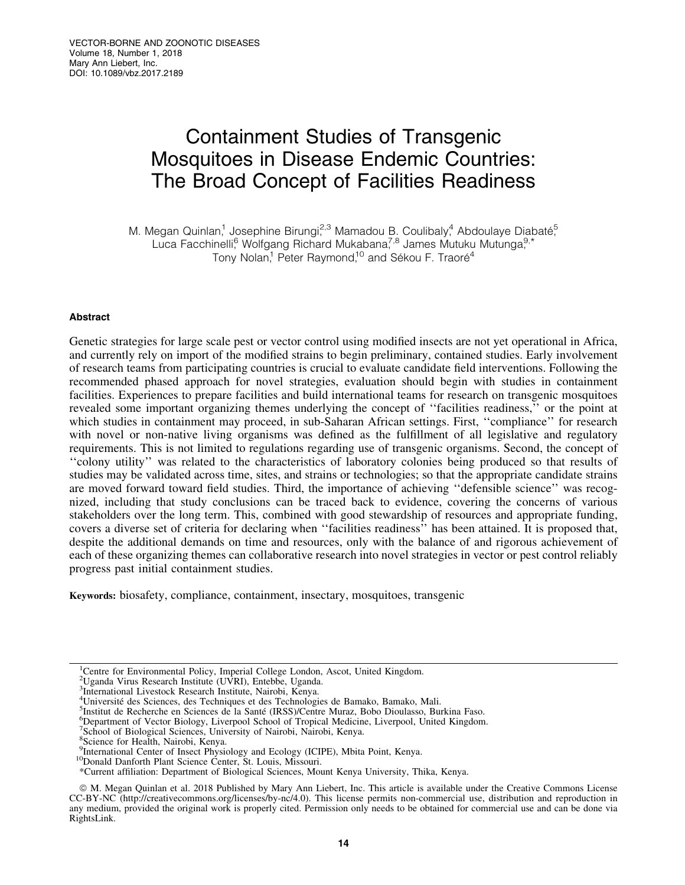# Containment Studies of Transgenic Mosquitoes in Disease Endemic Countries: The Broad Concept of Facilities Readiness

M. Megan Quinlan,<sup>1</sup> Josephine Birungi,<sup>2,3</sup> Mamadou B. Coulibaly,<sup>4</sup> Abdoulaye Diabaté, Luca Facchinelli, Wolfgang Richard Mukabana,<sup>7,8</sup> James Mutuku Mutunga,<sup>9,\*</sup> Tony Nolan,<sup>1</sup> Peter Raymond,<sup>10</sup> and Sékou F. Traoré<sup>4</sup>

## Abstract

Genetic strategies for large scale pest or vector control using modified insects are not yet operational in Africa, and currently rely on import of the modified strains to begin preliminary, contained studies. Early involvement of research teams from participating countries is crucial to evaluate candidate field interventions. Following the recommended phased approach for novel strategies, evaluation should begin with studies in containment facilities. Experiences to prepare facilities and build international teams for research on transgenic mosquitoes revealed some important organizing themes underlying the concept of ''facilities readiness,'' or the point at which studies in containment may proceed, in sub-Saharan African settings. First, "compliance" for research with novel or non-native living organisms was defined as the fulfillment of all legislative and regulatory requirements. This is not limited to regulations regarding use of transgenic organisms. Second, the concept of ''colony utility'' was related to the characteristics of laboratory colonies being produced so that results of studies may be validated across time, sites, and strains or technologies; so that the appropriate candidate strains are moved forward toward field studies. Third, the importance of achieving ''defensible science'' was recognized, including that study conclusions can be traced back to evidence, covering the concerns of various stakeholders over the long term. This, combined with good stewardship of resources and appropriate funding, covers a diverse set of criteria for declaring when ''facilities readiness'' has been attained. It is proposed that, despite the additional demands on time and resources, only with the balance of and rigorous achievement of each of these organizing themes can collaborative research into novel strategies in vector or pest control reliably progress past initial containment studies.

Keywords: biosafety, compliance, containment, insectary, mosquitoes, transgenic

Department of Vector Biology, Liverpool School of Tropical Medicine, Liverpool, United Kingdom.

<sup>&</sup>lt;sup>1</sup>Centre for Environmental Policy, Imperial College London, Ascot, United Kingdom.

<sup>2</sup> Uganda Virus Research Institute (UVRI), Entebbe, Uganda.

<sup>&</sup>lt;sup>3</sup>International Livestock Research Institute, Nairobi, Kenya.

<sup>&</sup>lt;sup>4</sup>Université des Sciences, des Techniques et des Technologies de Bamako, Bamako, Mali.<br><sup>5</sup>Institut de Becherche en Sciences de la Santé (IRSS)/Centre Muraz, Bobo Dioulasso, Bu

<sup>&</sup>lt;sup>5</sup>Institut de Recherche en Sciences de la Santé (IRSS)/Centre Muraz, Bobo Dioulasso, Burkina Faso.

<sup>&</sup>lt;sup>7</sup>School of Biological Sciences, University of Nairobi, Nairobi, Kenya.

<sup>8</sup> Science for Health, Nairobi, Kenya.

<sup>9</sup> International Center of Insect Physiology and Ecology (ICIPE), Mbita Point, Kenya. 10Donald Danforth Plant Science Center, St. Louis, Missouri.

<sup>&</sup>lt;sup>10</sup>Donald Danforth Plant Science Center, St. Louis, Missouri.<br>\*Current affiliation: Department of Biological Sciences, Mount Kenya University, Thika, Kenya.

ª M. Megan Quinlan et al. 2018 Published by Mary Ann Liebert, Inc. This article is available under the Creative Commons License CC-BY-NC (http://creativecommons.org/licenses/by-nc/4.0). This license permits non-commercial use, distribution and reproduction in any medium, provided the original work is properly cited. Permission only needs to be obtained for commercial use and can be done via RightsLink.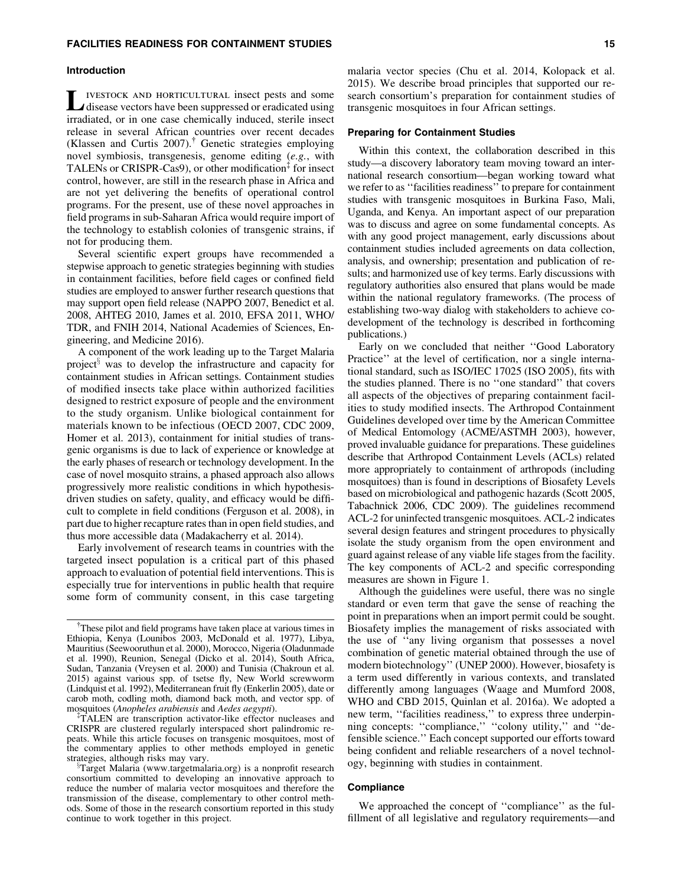#### Introduction

IVESTOCK AND HORTICULTURAL insect pests and some disease vectors have been suppressed or eradicated using irradiated, or in one case chemically induced, sterile insect release in several African countries over recent decades (Klassen and Curtis  $2007$ ).<sup>T</sup> Genetic strategies employing novel symbiosis, transgenesis, genome editing (*e.g.*, with TALENs or CRISPR-Cas9), or other modification<sup>‡</sup> for insect control, however, are still in the research phase in Africa and are not yet delivering the benefits of operational control programs. For the present, use of these novel approaches in field programs in sub-Saharan Africa would require import of the technology to establish colonies of transgenic strains, if not for producing them.

Several scientific expert groups have recommended a stepwise approach to genetic strategies beginning with studies in containment facilities, before field cages or confined field studies are employed to answer further research questions that may support open field release (NAPPO 2007, Benedict et al. 2008, AHTEG 2010, James et al. 2010, EFSA 2011, WHO/ TDR, and FNIH 2014, National Academies of Sciences, Engineering, and Medicine 2016).

A component of the work leading up to the Target Malaria project<sup>3</sup> was to develop the infrastructure and capacity for containment studies in African settings. Containment studies of modified insects take place within authorized facilities designed to restrict exposure of people and the environment to the study organism. Unlike biological containment for materials known to be infectious (OECD 2007, CDC 2009, Homer et al. 2013), containment for initial studies of transgenic organisms is due to lack of experience or knowledge at the early phases of research or technology development. In the case of novel mosquito strains, a phased approach also allows progressively more realistic conditions in which hypothesisdriven studies on safety, quality, and efficacy would be difficult to complete in field conditions (Ferguson et al. 2008), in part due to higher recapture rates than in open field studies, and thus more accessible data (Madakacherry et al. 2014).

Early involvement of research teams in countries with the targeted insect population is a critical part of this phased approach to evaluation of potential field interventions. This is especially true for interventions in public health that require some form of community consent, in this case targeting

<sup>‡</sup>TALEN are transcription activator-like effector nucleases and CRISPR are clustered regularly interspaced short palindromic repeats. While this article focuses on transgenic mosquitoes, most of the commentary applies to other methods employed in genetic strategies, although risks may vary.

malaria vector species (Chu et al. 2014, Kolopack et al. 2015). We describe broad principles that supported our research consortium's preparation for containment studies of transgenic mosquitoes in four African settings.

### Preparing for Containment Studies

Within this context, the collaboration described in this study—a discovery laboratory team moving toward an international research consortium—began working toward what we refer to as ''facilities readiness'' to prepare for containment studies with transgenic mosquitoes in Burkina Faso, Mali, Uganda, and Kenya. An important aspect of our preparation was to discuss and agree on some fundamental concepts. As with any good project management, early discussions about containment studies included agreements on data collection, analysis, and ownership; presentation and publication of results; and harmonized use of key terms. Early discussions with regulatory authorities also ensured that plans would be made within the national regulatory frameworks. (The process of establishing two-way dialog with stakeholders to achieve codevelopment of the technology is described in forthcoming publications.)

Early on we concluded that neither ''Good Laboratory Practice'' at the level of certification, nor a single international standard, such as ISO/IEC 17025 (ISO 2005), fits with the studies planned. There is no ''one standard'' that covers all aspects of the objectives of preparing containment facilities to study modified insects. The Arthropod Containment Guidelines developed over time by the American Committee of Medical Entomology (ACME/ASTMH 2003), however, proved invaluable guidance for preparations. These guidelines describe that Arthropod Containment Levels (ACLs) related more appropriately to containment of arthropods (including mosquitoes) than is found in descriptions of Biosafety Levels based on microbiological and pathogenic hazards (Scott 2005, Tabachnick 2006, CDC 2009). The guidelines recommend ACL-2 for uninfected transgenic mosquitoes. ACL-2 indicates several design features and stringent procedures to physically isolate the study organism from the open environment and guard against release of any viable life stages from the facility. The key components of ACL-2 and specific corresponding measures are shown in Figure 1.

Although the guidelines were useful, there was no single standard or even term that gave the sense of reaching the point in preparations when an import permit could be sought. Biosafety implies the management of risks associated with the use of ''any living organism that possesses a novel combination of genetic material obtained through the use of modern biotechnology'' (UNEP 2000). However, biosafety is a term used differently in various contexts, and translated differently among languages (Waage and Mumford 2008, WHO and CBD 2015, Quinlan et al. 2016a). We adopted a new term, ''facilities readiness,'' to express three underpinning concepts: ''compliance,'' ''colony utility,'' and ''defensible science.'' Each concept supported our efforts toward being confident and reliable researchers of a novel technology, beginning with studies in containment.

## **Compliance**

We approached the concept of ''compliance'' as the fulfillment of all legislative and regulatory requirements—and

<sup>&</sup>lt;sup>†</sup>These pilot and field programs have taken place at various times in Ethiopia, Kenya (Lounibos 2003, McDonald et al. 1977), Libya, Mauritius (Seewooruthun et al. 2000), Morocco, Nigeria (Oladunmade et al. 1990), Reunion, Senegal (Dicko et al. 2014), South Africa, Sudan, Tanzania (Vreysen et al. 2000) and Tunisia (Chakroun et al. 2015) against various spp. of tsetse fly, New World screwworm (Lindquist et al. 1992), Mediterranean fruit fly (Enkerlin 2005), date or carob moth, codling moth, diamond back moth, and vector spp. of mosquitoes (*Anopheles arabiensis* and *Aedes aegypti*). {

Target Malaria (www.targetmalaria.org) is a nonprofit research consortium committed to developing an innovative approach to reduce the number of malaria vector mosquitoes and therefore the transmission of the disease, complementary to other control methods. Some of those in the research consortium reported in this study continue to work together in this project.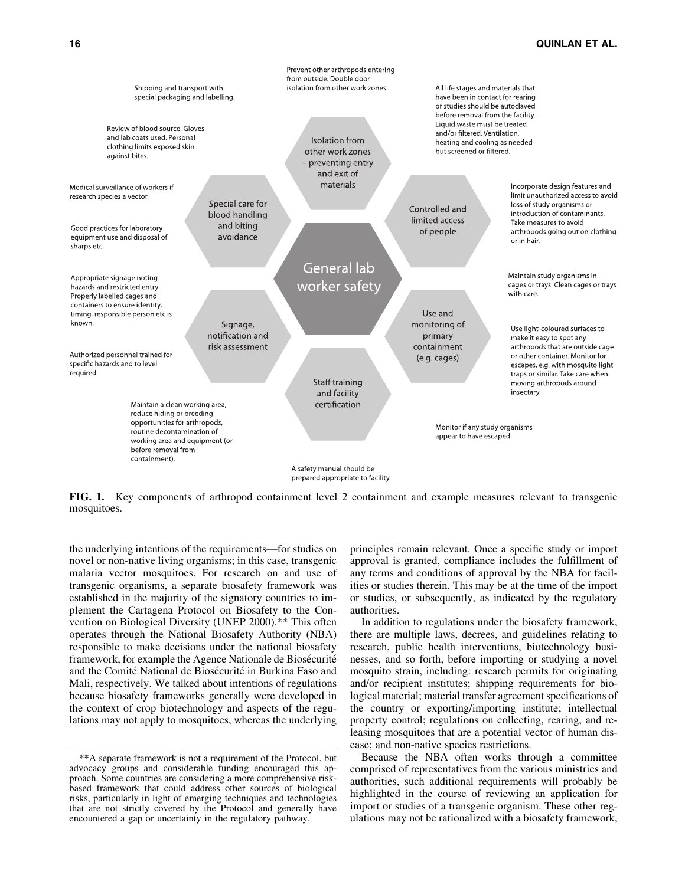## 16 QUINLAN ET AL.



FIG. 1. Key components of arthropod containment level 2 containment and example measures relevant to transgenic mosquitoes.

the underlying intentions of the requirements—for studies on novel or non-native living organisms; in this case, transgenic malaria vector mosquitoes. For research on and use of transgenic organisms, a separate biosafety framework was established in the majority of the signatory countries to implement the Cartagena Protocol on Biosafety to the Convention on Biological Diversity (UNEP 2000).\*\* This often operates through the National Biosafety Authority (NBA) responsible to make decisions under the national biosafety framework, for example the Agence Nationale de Biosécurité and the Comité National de Biosécurité in Burkina Faso and Mali, respectively. We talked about intentions of regulations because biosafety frameworks generally were developed in the context of crop biotechnology and aspects of the regulations may not apply to mosquitoes, whereas the underlying principles remain relevant. Once a specific study or import approval is granted, compliance includes the fulfillment of any terms and conditions of approval by the NBA for facilities or studies therein. This may be at the time of the import or studies, or subsequently, as indicated by the regulatory authorities.

In addition to regulations under the biosafety framework, there are multiple laws, decrees, and guidelines relating to research, public health interventions, biotechnology businesses, and so forth, before importing or studying a novel mosquito strain, including: research permits for originating and/or recipient institutes; shipping requirements for biological material; material transfer agreement specifications of the country or exporting/importing institute; intellectual property control; regulations on collecting, rearing, and releasing mosquitoes that are a potential vector of human disease; and non-native species restrictions.

Because the NBA often works through a committee comprised of representatives from the various ministries and authorities, such additional requirements will probably be highlighted in the course of reviewing an application for import or studies of a transgenic organism. These other regulations may not be rationalized with a biosafety framework,

<sup>\*\*</sup>A separate framework is not a requirement of the Protocol, but advocacy groups and considerable funding encouraged this approach. Some countries are considering a more comprehensive riskbased framework that could address other sources of biological risks, particularly in light of emerging techniques and technologies that are not strictly covered by the Protocol and generally have encountered a gap or uncertainty in the regulatory pathway.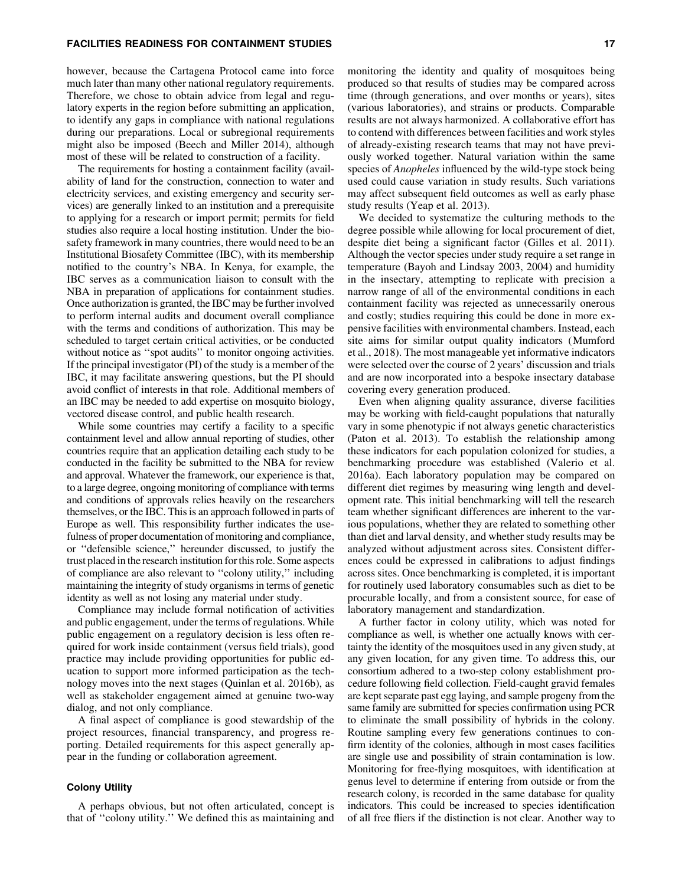## FACILITIES READINESS FOR CONTAINMENT STUDIES 17

however, because the Cartagena Protocol came into force much later than many other national regulatory requirements. Therefore, we chose to obtain advice from legal and regulatory experts in the region before submitting an application, to identify any gaps in compliance with national regulations during our preparations. Local or subregional requirements might also be imposed (Beech and Miller 2014), although most of these will be related to construction of a facility.

The requirements for hosting a containment facility (availability of land for the construction, connection to water and electricity services, and existing emergency and security services) are generally linked to an institution and a prerequisite to applying for a research or import permit; permits for field studies also require a local hosting institution. Under the biosafety framework in many countries, there would need to be an Institutional Biosafety Committee (IBC), with its membership notified to the country's NBA. In Kenya, for example, the IBC serves as a communication liaison to consult with the NBA in preparation of applications for containment studies. Once authorization is granted, the IBC may be further involved to perform internal audits and document overall compliance with the terms and conditions of authorization. This may be scheduled to target certain critical activities, or be conducted without notice as "spot audits" to monitor ongoing activities. If the principal investigator (PI) of the study is a member of the IBC, it may facilitate answering questions, but the PI should avoid conflict of interests in that role. Additional members of an IBC may be needed to add expertise on mosquito biology, vectored disease control, and public health research.

While some countries may certify a facility to a specific containment level and allow annual reporting of studies, other countries require that an application detailing each study to be conducted in the facility be submitted to the NBA for review and approval. Whatever the framework, our experience is that, to a large degree, ongoing monitoring of compliance with terms and conditions of approvals relies heavily on the researchers themselves, or the IBC. This is an approach followed in parts of Europe as well. This responsibility further indicates the usefulness of proper documentation of monitoring and compliance, or ''defensible science,'' hereunder discussed, to justify the trust placed in the research institution forthis role. Some aspects of compliance are also relevant to ''colony utility,'' including maintaining the integrity of study organisms in terms of genetic identity as well as not losing any material under study.

Compliance may include formal notification of activities and public engagement, under the terms of regulations. While public engagement on a regulatory decision is less often required for work inside containment (versus field trials), good practice may include providing opportunities for public education to support more informed participation as the technology moves into the next stages (Quinlan et al. 2016b), as well as stakeholder engagement aimed at genuine two-way dialog, and not only compliance.

A final aspect of compliance is good stewardship of the project resources, financial transparency, and progress reporting. Detailed requirements for this aspect generally appear in the funding or collaboration agreement.

## Colony Utility

A perhaps obvious, but not often articulated, concept is that of ''colony utility.'' We defined this as maintaining and

monitoring the identity and quality of mosquitoes being produced so that results of studies may be compared across time (through generations, and over months or years), sites (various laboratories), and strains or products. Comparable results are not always harmonized. A collaborative effort has to contend with differences between facilities and work styles of already-existing research teams that may not have previously worked together. Natural variation within the same species of *Anopheles* influenced by the wild-type stock being used could cause variation in study results. Such variations may affect subsequent field outcomes as well as early phase study results (Yeap et al. 2013).

We decided to systematize the culturing methods to the degree possible while allowing for local procurement of diet, despite diet being a significant factor (Gilles et al. 2011). Although the vector species under study require a set range in temperature (Bayoh and Lindsay 2003, 2004) and humidity in the insectary, attempting to replicate with precision a narrow range of all of the environmental conditions in each containment facility was rejected as unnecessarily onerous and costly; studies requiring this could be done in more expensive facilities with environmental chambers. Instead, each site aims for similar output quality indicators (Mumford et al., 2018). The most manageable yet informative indicators were selected over the course of 2 years' discussion and trials and are now incorporated into a bespoke insectary database covering every generation produced.

Even when aligning quality assurance, diverse facilities may be working with field-caught populations that naturally vary in some phenotypic if not always genetic characteristics (Paton et al. 2013). To establish the relationship among these indicators for each population colonized for studies, a benchmarking procedure was established (Valerio et al. 2016a). Each laboratory population may be compared on different diet regimes by measuring wing length and development rate. This initial benchmarking will tell the research team whether significant differences are inherent to the various populations, whether they are related to something other than diet and larval density, and whether study results may be analyzed without adjustment across sites. Consistent differences could be expressed in calibrations to adjust findings across sites. Once benchmarking is completed, it is important for routinely used laboratory consumables such as diet to be procurable locally, and from a consistent source, for ease of laboratory management and standardization.

A further factor in colony utility, which was noted for compliance as well, is whether one actually knows with certainty the identity of the mosquitoes used in any given study, at any given location, for any given time. To address this, our consortium adhered to a two-step colony establishment procedure following field collection. Field-caught gravid females are kept separate past egg laying, and sample progeny from the same family are submitted for species confirmation using PCR to eliminate the small possibility of hybrids in the colony. Routine sampling every few generations continues to confirm identity of the colonies, although in most cases facilities are single use and possibility of strain contamination is low. Monitoring for free-flying mosquitoes, with identification at genus level to determine if entering from outside or from the research colony, is recorded in the same database for quality indicators. This could be increased to species identification of all free fliers if the distinction is not clear. Another way to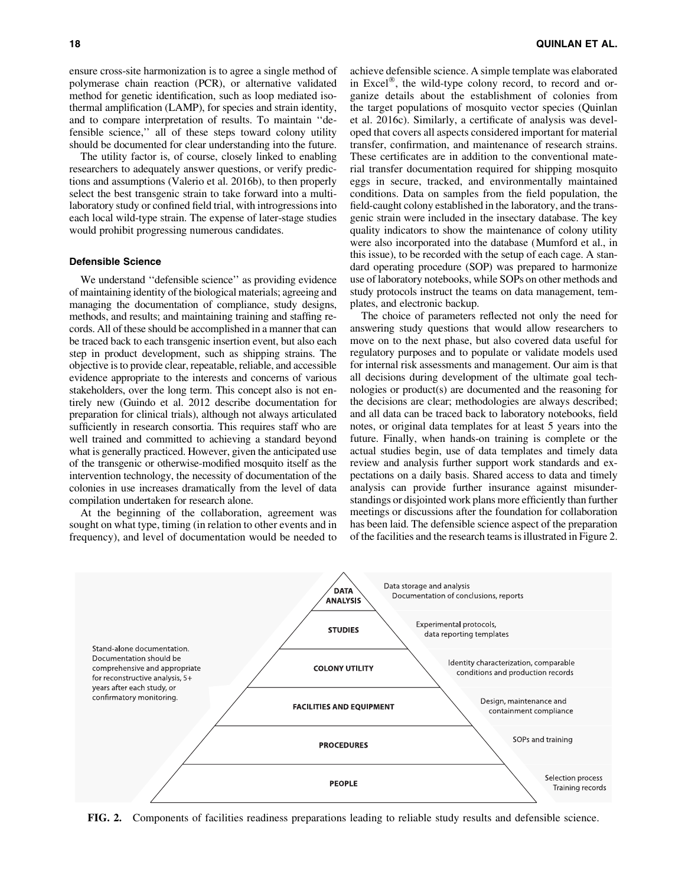ensure cross-site harmonization is to agree a single method of polymerase chain reaction (PCR), or alternative validated method for genetic identification, such as loop mediated isothermal amplification (LAMP), for species and strain identity, and to compare interpretation of results. To maintain ''defensible science,'' all of these steps toward colony utility should be documented for clear understanding into the future.

The utility factor is, of course, closely linked to enabling researchers to adequately answer questions, or verify predictions and assumptions (Valerio et al. 2016b), to then properly select the best transgenic strain to take forward into a multilaboratory study or confined field trial, with introgressions into each local wild-type strain. The expense of later-stage studies would prohibit progressing numerous candidates.

#### Defensible Science

We understand "defensible science" as providing evidence of maintaining identity of the biological materials; agreeing and managing the documentation of compliance, study designs, methods, and results; and maintaining training and staffing records. All of these should be accomplished in a manner that can be traced back to each transgenic insertion event, but also each step in product development, such as shipping strains. The objective is to provide clear, repeatable, reliable, and accessible evidence appropriate to the interests and concerns of various stakeholders, over the long term. This concept also is not entirely new (Guindo et al. 2012 describe documentation for preparation for clinical trials), although not always articulated sufficiently in research consortia. This requires staff who are well trained and committed to achieving a standard beyond what is generally practiced. However, given the anticipated use of the transgenic or otherwise-modified mosquito itself as the intervention technology, the necessity of documentation of the colonies in use increases dramatically from the level of data compilation undertaken for research alone.

At the beginning of the collaboration, agreement was sought on what type, timing (in relation to other events and in frequency), and level of documentation would be needed to achieve defensible science. A simple template was elaborated in Excel $^{\circ}$ , the wild-type colony record, to record and organize details about the establishment of colonies from the target populations of mosquito vector species (Quinlan et al. 2016c). Similarly, a certificate of analysis was developed that covers all aspects considered important for material transfer, confirmation, and maintenance of research strains. These certificates are in addition to the conventional material transfer documentation required for shipping mosquito eggs in secure, tracked, and environmentally maintained conditions. Data on samples from the field population, the field-caught colony established in the laboratory, and the transgenic strain were included in the insectary database. The key quality indicators to show the maintenance of colony utility were also incorporated into the database (Mumford et al., in this issue), to be recorded with the setup of each cage. A standard operating procedure (SOP) was prepared to harmonize use of laboratory notebooks, while SOPs on other methods and study protocols instruct the teams on data management, templates, and electronic backup.

The choice of parameters reflected not only the need for answering study questions that would allow researchers to move on to the next phase, but also covered data useful for regulatory purposes and to populate or validate models used for internal risk assessments and management. Our aim is that all decisions during development of the ultimate goal technologies or product(s) are documented and the reasoning for the decisions are clear; methodologies are always described; and all data can be traced back to laboratory notebooks, field notes, or original data templates for at least 5 years into the future. Finally, when hands-on training is complete or the actual studies begin, use of data templates and timely data review and analysis further support work standards and expectations on a daily basis. Shared access to data and timely analysis can provide further insurance against misunderstandings or disjointed work plans more efficiently than further meetings or discussions after the foundation for collaboration has been laid. The defensible science aspect of the preparation of the facilities and the research teams is illustrated in Figure 2.



FIG. 2. Components of facilities readiness preparations leading to reliable study results and defensible science.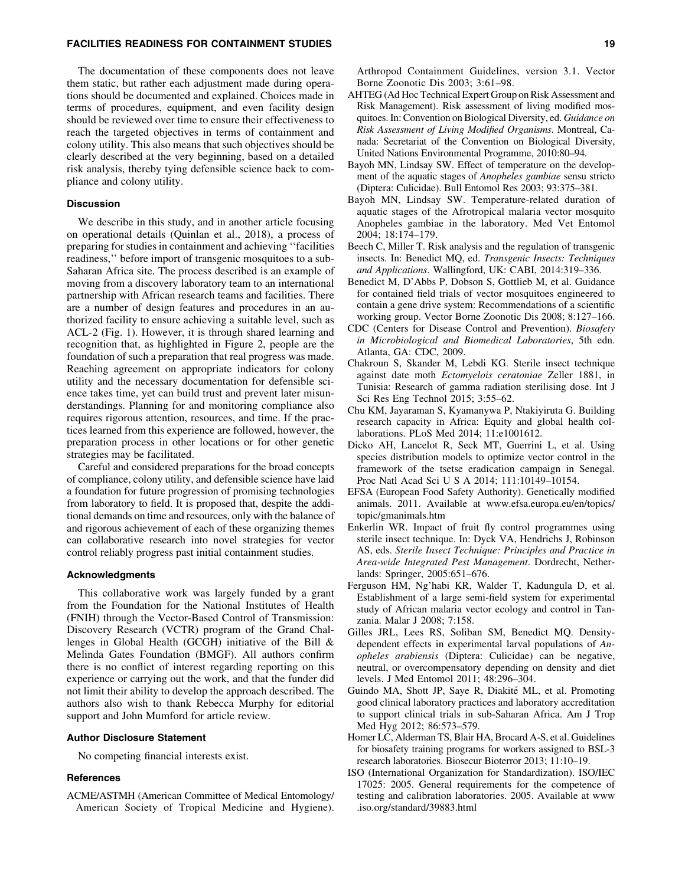### FACILITIES READINESS FOR CONTAINMENT STUDIES 19

The documentation of these components does not leave them static, but rather each adjustment made during operations should be documented and explained. Choices made in terms of procedures, equipment, and even facility design should be reviewed over time to ensure their effectiveness to reach the targeted objectives in terms of containment and colony utility. This also means that such objectives should be clearly described at the very beginning, based on a detailed risk analysis, thereby tying defensible science back to compliance and colony utility.

## Discussion

We describe in this study, and in another article focusing on operational details (Quinlan et al., 2018), a process of preparing for studies in containment and achieving ''facilities readiness,'' before import of transgenic mosquitoes to a sub-Saharan Africa site. The process described is an example of moving from a discovery laboratory team to an international partnership with African research teams and facilities. There are a number of design features and procedures in an authorized facility to ensure achieving a suitable level, such as ACL-2 (Fig. 1). However, it is through shared learning and recognition that, as highlighted in Figure 2, people are the foundation of such a preparation that real progress was made. Reaching agreement on appropriate indicators for colony utility and the necessary documentation for defensible science takes time, yet can build trust and prevent later misunderstandings. Planning for and monitoring compliance also requires rigorous attention, resources, and time. If the practices learned from this experience are followed, however, the preparation process in other locations or for other genetic strategies may be facilitated.

Careful and considered preparations for the broad concepts of compliance, colony utility, and defensible science have laid a foundation for future progression of promising technologies from laboratory to field. It is proposed that, despite the additional demands on time and resources, only with the balance of and rigorous achievement of each of these organizing themes can collaborative research into novel strategies for vector control reliably progress past initial containment studies.

#### Acknowledgments

This collaborative work was largely funded by a grant from the Foundation for the National Institutes of Health (FNIH) through the Vector-Based Control of Transmission: Discovery Research (VCTR) program of the Grand Challenges in Global Health (GCGH) initiative of the Bill & Melinda Gates Foundation (BMGF). All authors confirm there is no conflict of interest regarding reporting on this experience or carrying out the work, and that the funder did not limit their ability to develop the approach described. The authors also wish to thank Rebecca Murphy for editorial support and John Mumford for article review.

## Author Disclosure Statement

No competing financial interests exist.

## **References**

ACME/ASTMH (American Committee of Medical Entomology/ American Society of Tropical Medicine and Hygiene).

- AHTEG (Ad Hoc Technical Expert Group on Risk Assessment and Risk Management). Risk assessment of living modified mosquitoes. In: Convention on Biological Diversity, ed. *Guidance on Risk Assessment of Living Modified Organisms*. Montreal, Canada: Secretariat of the Convention on Biological Diversity, United Nations Environmental Programme, 2010:80–94.
- Bayoh MN, Lindsay SW. Effect of temperature on the development of the aquatic stages of *Anopheles gambiae* sensu stricto (Diptera: Culicidae). Bull Entomol Res 2003; 93:375–381.
- Bayoh MN, Lindsay SW. Temperature-related duration of aquatic stages of the Afrotropical malaria vector mosquito Anopheles gambiae in the laboratory. Med Vet Entomol 2004; 18:174–179.
- Beech C, Miller T. Risk analysis and the regulation of transgenic insects. In: Benedict MQ, ed. *Transgenic Insects: Techniques and Applications*. Wallingford, UK: CABI, 2014:319–336.
- Benedict M, D'Abbs P, Dobson S, Gottlieb M, et al. Guidance for contained field trials of vector mosquitoes engineered to contain a gene drive system: Recommendations of a scientific working group. Vector Borne Zoonotic Dis 2008; 8:127–166.
- CDC (Centers for Disease Control and Prevention). *Biosafety in Microbiological and Biomedical Laboratories*, 5th edn. Atlanta, GA: CDC, 2009.
- Chakroun S, Skander M, Lebdi KG. Sterile insect technique against date moth *Ectomyelois ceratoniae* Zeller 1881, in Tunisia: Research of gamma radiation sterilising dose. Int J Sci Res Eng Technol 2015; 3:55–62.
- Chu KM, Jayaraman S, Kyamanywa P, Ntakiyiruta G. Building research capacity in Africa: Equity and global health collaborations. PLoS Med 2014; 11:e1001612.
- Dicko AH, Lancelot R, Seck MT, Guerrini L, et al. Using species distribution models to optimize vector control in the framework of the tsetse eradication campaign in Senegal. Proc Natl Acad Sci U S A 2014; 111:10149–10154.
- EFSA (European Food Safety Authority). Genetically modified animals. 2011. Available at www.efsa.europa.eu/en/topics/ topic/gmanimals.htm
- Enkerlin WR. Impact of fruit fly control programmes using sterile insect technique. In: Dyck VA, Hendrichs J, Robinson AS, eds. *Sterile Insect Technique: Principles and Practice in Area-wide Integrated Pest Management*. Dordrecht, Netherlands: Springer, 2005:651–676.
- Ferguson HM, Ng'habi KR, Walder T, Kadungula D, et al. Establishment of a large semi-field system for experimental study of African malaria vector ecology and control in Tanzania. Malar J 2008; 7:158.
- Gilles JRL, Lees RS, Soliban SM, Benedict MQ. Densitydependent effects in experimental larval populations of *Anopheles arabiensis* (Diptera: Culicidae) can be negative, neutral, or overcompensatory depending on density and diet levels. J Med Entomol 2011; 48:296–304.
- Guindo MA, Shott JP, Saye R, Diakité ML, et al. Promoting good clinical laboratory practices and laboratory accreditation to support clinical trials in sub-Saharan Africa. Am J Trop Med Hyg 2012; 86:573–579.
- Homer LC, Alderman TS, Blair HA, Brocard A-S, et al. Guidelines for biosafety training programs for workers assigned to BSL-3 research laboratories. Biosecur Bioterror 2013; 11:10–19.
- ISO (International Organization for Standardization). ISO/IEC 17025: 2005. General requirements for the competence of testing and calibration laboratories. 2005. Available at www .iso.org/standard/39883.html